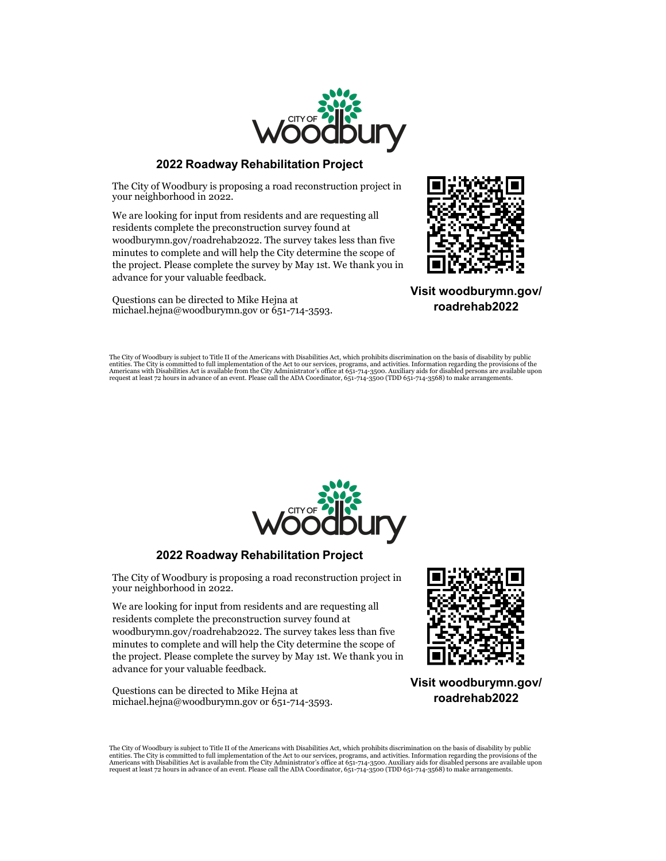

## **2022 Roadway Rehabilitation Project**

The City of Woodbury is proposing a road reconstruction project in your neighborhood in 2022.

We are looking for input from residents and are requesting all residents complete the preconstruction survey found at woodburymn.gov/roadrehab2022. The survey takes less than five minutes to complete and will help the City determine the scope of the project. Please complete the survey by May 1st. We thank you in advance for your valuable feedback.

Questions can be directed to Mike Hejna at michael.hejna@woodburymn.gov or 651-714-3593.



**Visit woodburymn.gov/ roadrehab2022**

The City of Woodbury is subject to Title II of the Americans with Disabilities Act, which prohibits discrimination on the basis of disability by public<br>Americans with Disabilities Act is available from the City Administrat



## **2022 Roadway Rehabilitation Project**

The City of Woodbury is proposing a road reconstruction project in your neighborhood in 2022.

We are looking for input from residents and are requesting all residents complete the preconstruction survey found at woodburymn.gov/roadrehab2022. The survey takes less than five minutes to complete and will help the City determine the scope of the project. Please complete the survey by May 1st. We thank you in advance for your valuable feedback.

Questions can be directed to Mike Hejna at michael.hejna@woodburymn.gov or 651-714-3593.



**Visit woodburymn.gov/ roadrehab2022**

The City of Woodbury is subject to Title II of the Americans with Disabilities Act, which prohibits discrimination on the basis of disability by public<br>Americans with Disabilities Act is available from the Act to our servi